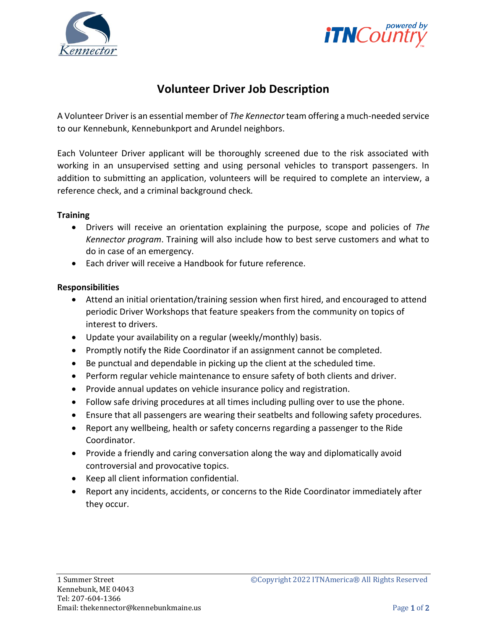



# **Volunteer Driver Job Description**

A Volunteer Driver is an essential member of *The Kennector* team offering a much-needed service to our Kennebunk, Kennebunkport and Arundel neighbors.

Each Volunteer Driver applicant will be thoroughly screened due to the risk associated with working in an unsupervised setting and using personal vehicles to transport passengers. In addition to submitting an application, volunteers will be required to complete an interview, a reference check, and a criminal background check.

### **Training**

- Drivers will receive an orientation explaining the purpose, scope and policies of *The Kennector program*. Training will also include how to best serve customers and what to do in case of an emergency.
- Each driver will receive a Handbook for future reference.

### **Responsibilities**

- Attend an initial orientation/training session when first hired, and encouraged to attend periodic Driver Workshops that feature speakers from the community on topics of interest to drivers.
- Update your availability on a regular (weekly/monthly) basis.
- Promptly notify the Ride Coordinator if an assignment cannot be completed.
- Be punctual and dependable in picking up the client at the scheduled time.
- Perform regular vehicle maintenance to ensure safety of both clients and driver.
- Provide annual updates on vehicle insurance policy and registration.
- Follow safe driving procedures at all times including pulling over to use the phone.
- Ensure that all passengers are wearing their seatbelts and following safety procedures.
- Report any wellbeing, health or safety concerns regarding a passenger to the Ride Coordinator.
- Provide a friendly and caring conversation along the way and diplomatically avoid controversial and provocative topics.
- Keep all client information confidential.
- Report any incidents, accidents, or concerns to the Ride Coordinator immediately after they occur.